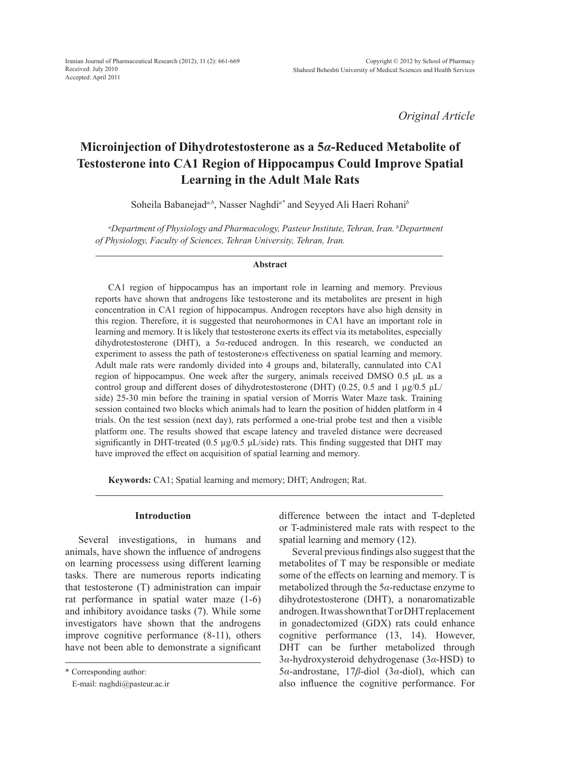*Original Article*

# **Microinjection of Dihydrotestosterone as a 5***α***-Reduced Metabolite of Testosterone into CA1 Region of Hippocampus Could Improve Spatial Learning in the Adult Male Rats**

Soheila Babanejad<sup>*a,b*</sup>, Nasser Naghdi<sup>*a\**</sup> and Seyyed Ali Haeri Rohani<sup>*b*</sup>

*a Department of Physiology and Pharmacology, Pasteur Institute, Tehran, Iran. b Department of Physiology, Faculty of Sciences, Tehran University, Tehran, Iran.*

#### **Abstract**

CA1 region of hippocampus has an important role in learning and memory. Previous reports have shown that androgens like testosterone and its metabolites are present in high concentration in CA1 region of hippocampus. Androgen receptors have also high density in this region. Therefore, it is suggested that neurohormones in CA1 have an important role in learning and memory. It is likely that testosterone exerts its effect via its metabolites, especially dihydrotestosterone (DHT), a 5*α*-reduced androgen. In this research, we conducted an experiment to assess the path of testosterone>s effectiveness on spatial learning and memory. Adult male rats were randomly divided into 4 groups and, bilaterally, cannulated into CA1 region of hippocampus. One week after the surgery, animals received DMSO 0.5 μL as a control group and different doses of dihydrotestosterone (DHT) (0.25, 0.5 and 1  $\mu$ g/0.5  $\mu$ L/ side) 25-30 min before the training in spatial version of Morris Water Maze task. Training session contained two blocks which animals had to learn the position of hidden platform in 4 trials. On the test session (next day), rats performed a one-trial probe test and then a visible platform one. The results showed that escape latency and traveled distance were decreased significantly in DHT-treated (0.5  $\mu$ g/0.5  $\mu$ L/side) rats. This finding suggested that DHT may have improved the effect on acquisition of spatial learning and memory.

**Keywords:** CA1; Spatial learning and memory; DHT; Androgen; Rat.

#### **Introduction**

Several investigations, in humans and animals, have shown the influence of androgens on learning processess using different learning tasks. There are numerous reports indicating that testosterone (T) administration can impair rat performance in spatial water maze (1-6) and inhibitory avoidance tasks (7). While some investigators have shown that the androgens improve cognitive performance (8-11), others have not been able to demonstrate a significant difference between the intact and T-depleted or T-administered male rats with respect to the spatial learning and memory (12).

Several previous findings also suggest that the metabolites of T may be responsible or mediate some of the effects on learning and memory. T is metabolized through the 5*α*-reductase enzyme to dihydrotestosterone (DHT), a nonaromatizable androgen. It was shown that T or DHT replacement in gonadectomized (GDX) rats could enhance cognitive performance (13, 14). However, DHT can be further metabolized through 3*α*-hydroxysteroid dehydrogenase (3*α*-HSD) to 5*α*-androstane, 17*β*-diol (3*α*-diol), which can also influence the cognitive performance. For

<sup>\*</sup> Corresponding author:

E-mail: naghdi@pasteur.ac.ir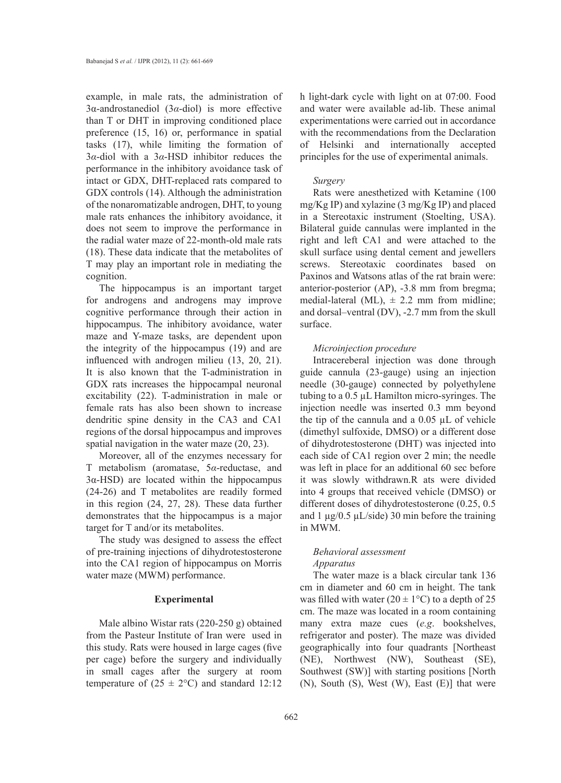example, in male rats, the administration of 3α-androstanediol (3*α*-diol) is more effective than T or DHT in improving conditioned place preference (15, 16) or, performance in spatial tasks (17), while limiting the formation of 3*α*-diol with a 3*α*-HSD inhibitor reduces the performance in the inhibitory avoidance task of intact or GDX, DHT-replaced rats compared to GDX controls (14). Although the administration of the nonaromatizable androgen, DHT, to young male rats enhances the inhibitory avoidance, it does not seem to improve the performance in the radial water maze of 22-month-old male rats (18). These data indicate that the metabolites of T may play an important role in mediating the cognition.

The hippocampus is an important target for androgens and androgens may improve cognitive performance through their action in hippocampus. The inhibitory avoidance, water maze and Y-maze tasks, are dependent upon the integrity of the hippocampus (19) and are influenced with androgen milieu (13, 20, 21). It is also known that the T-administration in GDX rats increases the hippocampal neuronal excitability (22). T-administration in male or female rats has also been shown to increase dendritic spine density in the CA3 and CA1 regions of the dorsal hippocampus and improves spatial navigation in the water maze (20, 23).

Moreover, all of the enzymes necessary for T metabolism (aromatase, 5*α*-reductase, and 3α-HSD) are located within the hippocampus (24-26) and T metabolites are readily formed in this region (24, 27, 28). These data further demonstrates that the hippocampus is a major target for T and/or its metabolites.

The study was designed to assess the effect of pre-training injections of dihydrotestosterone into the CA1 region of hippocampus on Morris water maze (MWM) performance.

## **Experimental**

Male albino Wistar rats (220-250 g) obtained from the Pasteur Institute of Iran were used in this study. Rats were housed in large cages (five per cage) before the surgery and individually in small cages after the surgery at room temperature of  $(25 \pm 2^{\circ}\text{C})$  and standard 12:12

h light-dark cycle with light on at 07:00. Food and water were available ad-lib. These animal experimentations were carried out in accordance with the recommendations from the Declaration of Helsinki and internationally accepted principles for the use of experimental animals.

## *Surgery*

Rats were anesthetized with Ketamine (100 mg/Kg IP) and xylazine (3 mg/Kg IP) and placed in a Stereotaxic instrument (Stoelting, USA). Bilateral guide cannulas were implanted in the right and left CA1 and were attached to the skull surface using dental cement and jewellers screws. Stereotaxic coordinates based on Paxinos and Watsons atlas of the rat brain were: anterior-posterior (AP), -3.8 mm from bregma; medial-lateral (ML),  $\pm$  2.2 mm from midline; and dorsal–ventral (DV), -2.7 mm from the skull surface.

## *Microinjection procedure*

Intracereberal injection was done through guide cannula (23-gauge) using an injection needle (30-gauge) connected by polyethylene tubing to a 0.5 µL Hamilton micro-syringes. The injection needle was inserted 0.3 mm beyond the tip of the cannula and a 0.05 µL of vehicle (dimethyl sulfoxide, DMSO) or a different dose of dihydrotestosterone (DHT) was injected into each side of CA1 region over 2 min; the needle was left in place for an additional 60 sec before it was slowly withdrawn.R ats were divided into 4 groups that received vehicle (DMSO) or different doses of dihydrotestosterone (0.25, 0.5 and  $1 \mu g/0.5 \mu L/side$ ) 30 min before the training in MWM.

## *Behavioral assessment Apparatus*

The water maze is a black circular tank 136 cm in diameter and 60 cm in height. The tank was filled with water  $(20 \pm 1^{\circ}C)$  to a depth of 25 cm. The maze was located in a room containing many extra maze cues (*e.g*. bookshelves, refrigerator and poster). The maze was divided geographically into four quadrants [Northeast (NE), Northwest (NW), Southeast (SE), Southwest (SW)] with starting positions [North (N), South (S), West (W), East (E)] that were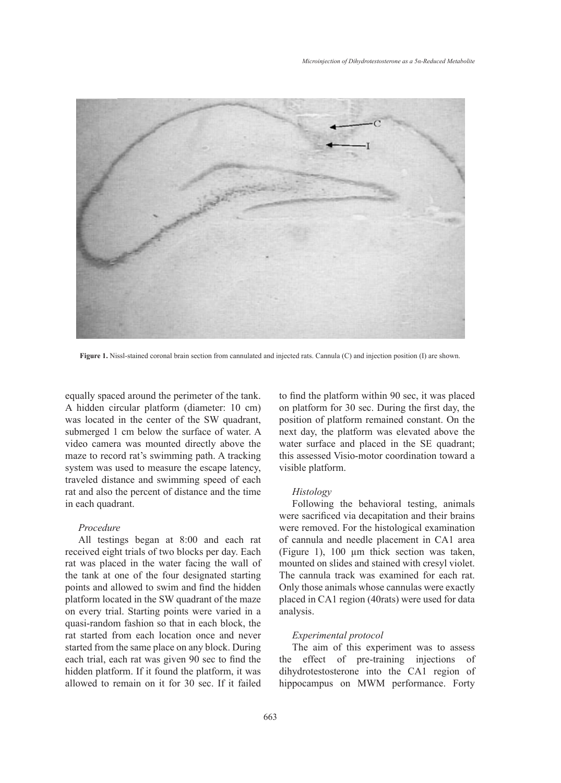

**Figure 1.** Nissl-stained coronal brain section from cannulated and injected rats. Cannula (C) and injection position (I) are shown.

equally spaced around the perimeter of the tank. A hidden circular platform (diameter: 10 cm) was located in the center of the SW quadrant, submerged 1 cm below the surface of water. A video camera was mounted directly above the maze to record rat's swimming path. A tracking system was used to measure the escape latency, traveled distance and swimming speed of each rat and also the percent of distance and the time in each quadrant.

## *Procedure*

All testings began at 8:00 and each rat received eight trials of two blocks per day. Each rat was placed in the water facing the wall of the tank at one of the four designated starting points and allowed to swim and find the hidden platform located in the SW quadrant of the maze on every trial. Starting points were varied in a quasi-random fashion so that in each block, the rat started from each location once and never started from the same place on any block. During each trial, each rat was given 90 sec to find the hidden platform. If it found the platform, it was allowed to remain on it for 30 sec. If it failed to find the platform within 90 sec, it was placed on platform for 30 sec. During the first day, the position of platform remained constant. On the next day, the platform was elevated above the water surface and placed in the SE quadrant; this assessed Visio-motor coordination toward a visible platform.

#### *Histology*

Following the behavioral testing, animals were sacrificed via decapitation and their brains were removed. For the histological examination of cannula and needle placement in CA1 area (Figure 1), 100 µm thick section was taken, mounted on slides and stained with cresyl violet. The cannula track was examined for each rat. Only those animals whose cannulas were exactly placed in CA1 region (40rats) were used for data analysis.

## *Experimental protocol*

The aim of this experiment was to assess the effect of pre-training injections of dihydrotestosterone into the CA1 region of hippocampus on MWM performance. Forty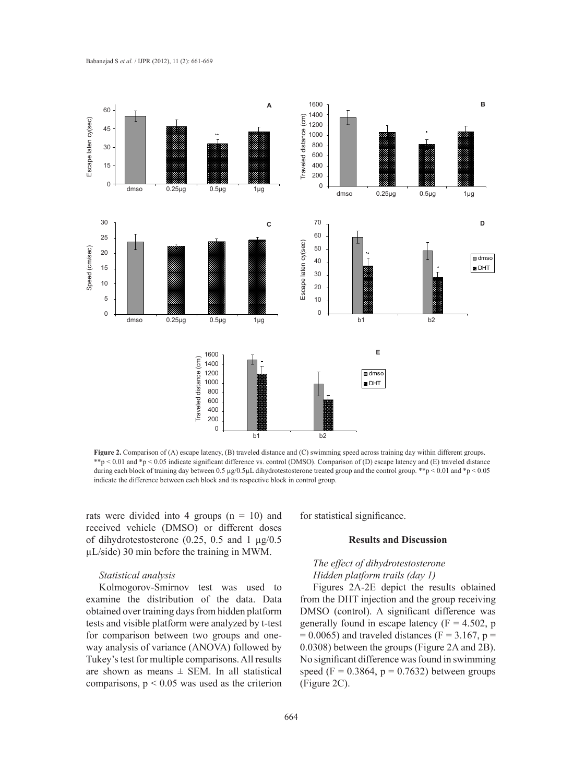

**Figure 2.** Comparison of (A) escape latency, (B) traveled distance and (C) swimming speed across training day within different groups. \*\*p < 0.01 and \*p < 0.05 indicate significant difference vs. control (DMSO). Comparison of (D) escape latency and (E) traveled distance during each block of training day between 0.5  $\mu$ g/0.5 $\mu$ L dihydrotestosterone treated group and the control group. \*\*p < 0.01 and \*p < 0.05 indicate the difference between each block and its respective block in control group.

rats were divided into 4 groups  $(n = 10)$  and received vehicle (DMSO) or different doses of dihydrotestosterone (0.25, 0.5 and 1  $\mu$ g/0.5 µL/side) 30 min before the training in MWM.

## *Statistical analysis*

Kolmogorov-Smirnov test was used to examine the distribution of the data. Data obtained over training days from hidden platform tests and visible platform were analyzed by t-test for comparison between two groups and oneway analysis of variance (ANOVA) followed by Tukey's test for multiple comparisons. All results are shown as means  $\pm$  SEM. In all statistical comparisons,  $p < 0.05$  was used as the criterion for statistical significance.

## **Results and Discussion**

## *The effect of dihydrotestosterone Hidden platform trails (day 1)*

Figures 2A-2E depict the results obtained from the DHT injection and the group receiving DMSO (control). A significant difference was generally found in escape latency  $(F = 4.502, p$  $= 0.0065$ ) and traveled distances (F = 3.167, p = 0.0308) between the groups (Figure 2A and 2B). No significant difference was found in swimming speed (F =  $0.3864$ , p =  $0.7632$ ) between groups (Figure 2C).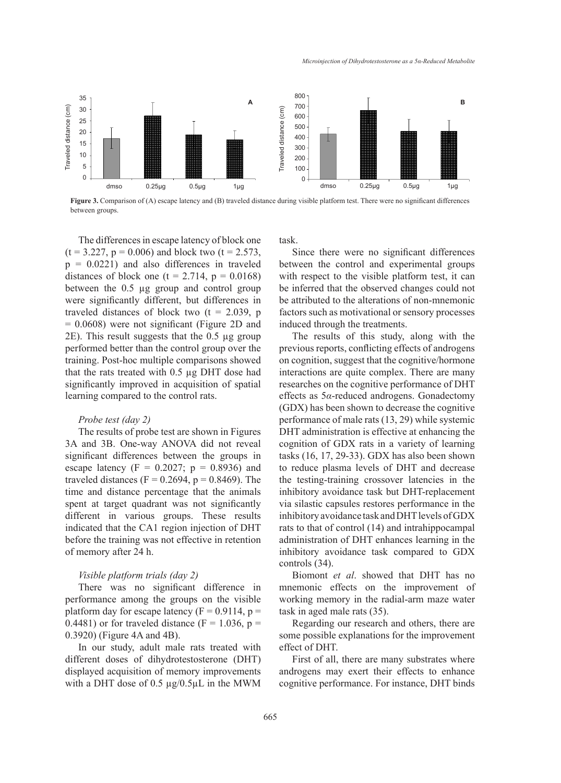

**Figure 3.** Comparison of (A) escape latency and (B) traveled distance during visible platform test. There were no significant differences between groups.

The differences in escape latency of block one  $(t = 3.227, p = 0.006)$  and block two  $(t = 2.573,$  $p = 0.0221$ ) and also differences in traveled distances of block one  $(t = 2.714, p = 0.0168)$ between the 0.5 µg group and control group were significantly different, but differences in traveled distances of block two  $(t = 2.039, p)$ = 0.0608) were not significant (Figure 2D and 2E). This result suggests that the 0.5 µg group performed better than the control group over the training. Post-hoc multiple comparisons showed that the rats treated with 0.5 µg DHT dose had significantly improved in acquisition of spatial learning compared to the control rats.

## *Probe test (day 2)*

The results of probe test are shown in Figures 3A and 3B. One-way ANOVA did not reveal significant differences between the groups in escape latency ( $F = 0.2027$ ;  $p = 0.8936$ ) and traveled distances ( $F = 0.2694$ ,  $p = 0.8469$ ). The time and distance percentage that the animals spent at target quadrant was not significantly different in various groups. These results indicated that the CA1 region injection of DHT before the training was not effective in retention of memory after 24 h.

## *Visible platform trials (day 2)*

There was no significant difference in performance among the groups on the visible platform day for escape latency ( $F = 0.9114$ ,  $p =$ 0.4481) or for traveled distance ( $F = 1.036$ ,  $p =$ 0.3920) (Figure 4A and 4B).

In our study, adult male rats treated with different doses of dihydrotestosterone (DHT) displayed acquisition of memory improvements with a DHT dose of  $0.5 \mu g / 0.5 \mu L$  in the MWM task.

Since there were no significant differences between the control and experimental groups with respect to the visible platform test, it can be inferred that the observed changes could not be attributed to the alterations of non-mnemonic factors such as motivational or sensory processes induced through the treatments.

The results of this study, along with the previous reports, conflicting effects of androgens on cognition, suggest that the cognitive/hormone interactions are quite complex. There are many researches on the cognitive performance of DHT effects as 5*α*-reduced androgens. Gonadectomy (GDX) has been shown to decrease the cognitive performance of male rats (13, 29) while systemic DHT administration is effective at enhancing the cognition of GDX rats in a variety of learning tasks (16, 17, 29-33). GDX has also been shown to reduce plasma levels of DHT and decrease the testing-training crossover latencies in the inhibitory avoidance task but DHT-replacement via silastic capsules restores performance in the inhibitory avoidance task and DHT levels of GDX rats to that of control (14) and intrahippocampal administration of DHT enhances learning in the inhibitory avoidance task compared to GDX controls (34).

Biomont *et al*. showed that DHT has no mnemonic effects on the improvement of working memory in the radial-arm maze water task in aged male rats (35).

Regarding our research and others, there are some possible explanations for the improvement effect of DHT.

First of all, there are many substrates where androgens may exert their effects to enhance cognitive performance. For instance, DHT binds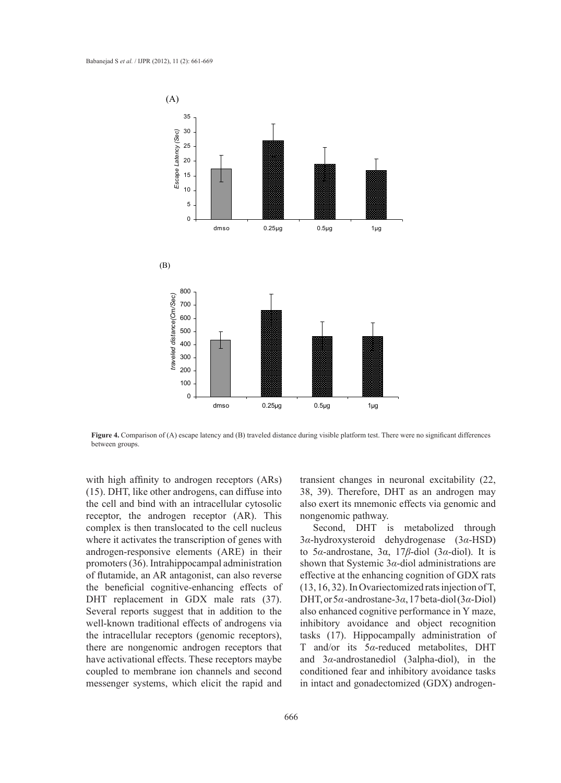

Figure 4. Comparison of (A) escape latency and (B) traveled distance during visible platform test. There were no significant differences between groups.

with high affinity to androgen receptors (ARs) (15). DHT, like other androgens, can diffuse into the cell and bind with an intracellular cytosolic receptor, the androgen receptor (AR). This complex is then translocated to the cell nucleus where it activates the transcription of genes with androgen-responsive elements (ARE) in their promoters (36). Intrahippocampal administration of flutamide, an AR antagonist, can also reverse the beneficial cognitive-enhancing effects of DHT replacement in GDX male rats (37). Several reports suggest that in addition to the well-known traditional effects of androgens via the intracellular receptors (genomic receptors), there are nongenomic androgen receptors that have activational effects. These receptors maybe coupled to membrane ion channels and second messenger systems, which elicit the rapid and

transient changes in neuronal excitability (22, 38, 39). Therefore, DHT as an androgen may also exert its mnemonic effects via genomic and nongenomic pathway.

Second, DHT is metabolized through 3*α*-hydroxysteroid dehydrogenase (3*α*-HSD) to 5*α*-androstane, 3α, 17*β*-diol (3*α*-diol). It is shown that Systemic 3*α*-diol administrations are effective at the enhancing cognition of GDX rats (13, 16, 32). In Ovariectomized rats injection of T, DHT, or 5*α* -androstane-3*α*, 17 beta-diol (3*α*-Diol) also enhanced cognitive performance in Y maze, inhibitory avoidance and object recognition tasks (17). Hippocampally administration of T and/or its 5*α*-reduced metabolites, DHT and 3*α*-androstanediol (3alpha-diol), in the conditioned fear and inhibitory avoidance tasks in intact and gonadectomized (GDX) androgen-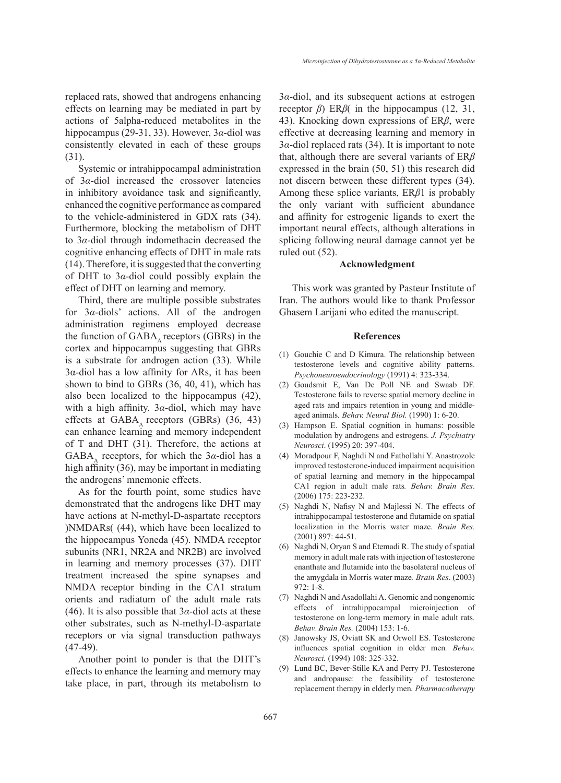replaced rats, showed that androgens enhancing effects on learning may be mediated in part by actions of 5alpha-reduced metabolites in the hippocampus (29-31, 33). However, 3*α*-diol was consistently elevated in each of these groups (31).

Systemic or intrahippocampal administration of 3*α*-diol increased the crossover latencies in inhibitory avoidance task and significantly, enhanced the cognitive performance as compared to the vehicle-administered in GDX rats (34). Furthermore, blocking the metabolism of DHT to 3*α*-diol through indomethacin decreased the cognitive enhancing effects of DHT in male rats (14). Therefore, it is suggested that the converting of DHT to 3*α*-diol could possibly explain the effect of DHT on learning and memory.

Third, there are multiple possible substrates for 3*α*-diols' actions. All of the androgen administration regimens employed decrease the function of  $GABA_A$  receptors (GBRs) in the cortex and hippocampus suggesting that GBRs is a substrate for androgen action (33). While 3α-diol has a low affinity for ARs, it has been shown to bind to GBRs (36, 40, 41), which has also been localized to the hippocampus (42), with a high affinity. 3*α*-diol, which may have effects at  $GABA_A$  receptors (GBRs) (36, 43) can enhance learning and memory independent of T and DHT (31). Therefore, the actions at GABA<sub> $\alpha$ </sub> receptors, for which the 3 $\alpha$ -diol has a high affinity (36), may be important in mediating the androgens' mnemonic effects.

As for the fourth point, some studies have demonstrated that the androgens like DHT may have actions at N-methyl-D-aspartate receptors )NMDARs( (44), which have been localized to the hippocampus Yoneda (45). NMDA receptor subunits (NR1, NR2A and NR2B) are involved in learning and memory processes (37). DHT treatment increased the spine synapses and NMDA receptor binding in the CA1 stratum orients and radiatum of the adult male rats (46). It is also possible that  $3\alpha$ -diol acts at these other substrates, such as N-methyl-D-aspartate receptors or via signal transduction pathways  $(47-49)$ .

Another point to ponder is that the DHT's effects to enhance the learning and memory may take place, in part, through its metabolism to 3*α*-diol, and its subsequent actions at estrogen receptor *β*) ER*β*( in the hippocampus (12, 31, 43). Knocking down expressions of ER*β*, were effective at decreasing learning and memory in 3*α*-diol replaced rats (34). It is important to note that, although there are several variants of ER*β* expressed in the brain (50, 51) this research did not discern between these different types (34). Among these splice variants, ER*β*1 is probably the only variant with sufficient abundance and affinity for estrogenic ligands to exert the important neural effects, although alterations in splicing following neural damage cannot yet be ruled out (52).

#### **Acknowledgment**

This work was granted by Pasteur Institute of Iran. The authors would like to thank Professor Ghasem Larijani who edited the manuscript.

#### **References**

- $(1)$  Gouchie C and D Kimura. The relationship between testosterone levels and cognitive ability patterns. *Psychoneuroendocrinology* (1991) 4: 323-334.
- Goudsmit E, Van De Poll NE and Swaab DF. (2) Testosterone fails to reverse spatial memory decline in aged rats and impairs retention in young and middleaged animals*. Behav. Neural Biol.* (1990) 1: 6-20.
- Hampson E. Spatial cognition in humans: possible (3) modulation by androgens and estrogens. *J. Psychiatry Neurosci*. (1995) 20: 397-404.
- Moradpour F, Naghdi N and Fathollahi Y. Anastrozole (4) improved testosterone-induced impairment acquisition of spatial learning and memory in the hippocampal CA1 region in adult male rats*. Behav. Brain Res*. (2006) 175: 223-232.
- (5) Naghdi N, Nafisy N and Majlessi N. The effects of intrahippocampal testosterone and flutamide on spatial localization in the Morris water maze*. Brain Res.* (2001) 897: 44-51.
- (6) Naghdi N, Oryan S and Etemadi R. The study of spatial memory in adult male rats with injection of testosterone enanthate and flutamide into the basolateral nucleus of the amygdala in Morris water maze*. Brain Res*. (2003) 972: 1-8.
- Naghdi N and Asadollahi A. Genomic and nongenomic (7) effects of intrahippocampal microinjection of testosterone on long-term memory in male adult rats*. Behav. Brain Res.* (2004) 153: 1-6.
- Janowsky JS, Oviatt SK and Orwoll ES. Testosterone (8) influences spatial cognition in older men*. Behav. Neurosci.* (1994) 108: 325-332.
- Lund BC, Bever-Stille KA and Perry PJ. Testosterone (9) and andropause: the feasibility of testosterone replacement therapy in elderly men*. Pharmacotherapy*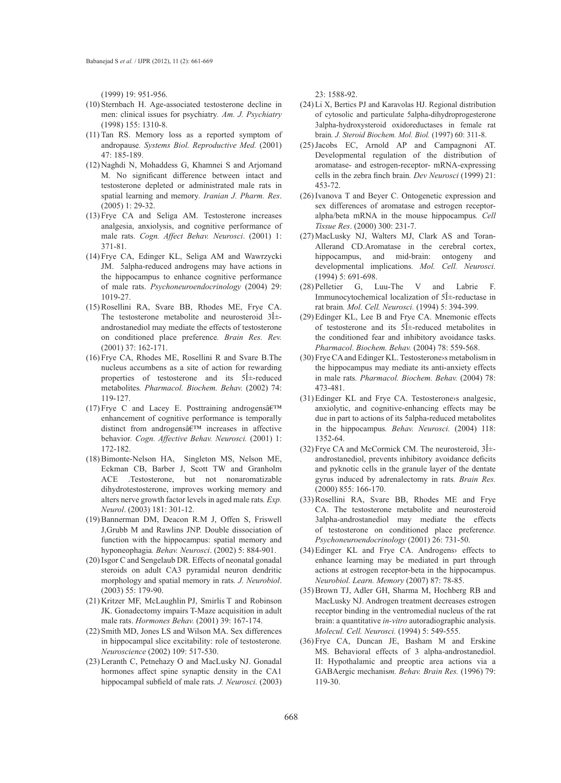(1999) 19: 951-956.

- (10) Sternbach H. Age-associated testosterone decline in men: clinical issues for psychiatry*. Am. J. Psychiatry* (1998) 155: 1310-8.
- $(11)$  Tan RS. Memory loss as a reported symptom of andropause*. Systems Biol. Reproductive Med.* (2001) 47: 185-189.
- (12) Naghdi N, Mohaddess G, Khamnei S and Arjomand M*.* No significant difference between intact and testosterone depleted or administrated male rats in spatial learning and memory*. Iranian J. Pharm. Res*. (2005) 1: 29-32.
- $(13)$  Frye CA and Seliga AM. Testosterone increases analgesia, anxiolysis, and cognitive performance of male rats. *Cogn. Affect Behav. Neurosci*. (2001) 1: 371-81.
- (14) Frye CA, Edinger KL, Seliga AM and Wawrzycki JM. 5alpha-reduced androgens may have actions in the hippocampus to enhance cognitive performance of male rats. *Psychoneuroendocrinology* (2004) 29: 1019-27.
- (15) Rosellini RA, Svare BB, Rhodes ME, Frye CA. The testosterone metabolite and neurosteroid  $3\hat{1}$ + androstanediol may mediate the effects of testosterone on conditioned place preference*. Brain Res. Rev.* (2001) 37: 162-171.
- $(16)$  Frye CA, Rhodes ME, Rosellini R and Svare B.The nucleus accumbens as a site of action for rewarding properties of testosterone and its  $5\hat{I}$  +-reduced metabolites*. Pharmacol. Biochem. Behav.* (2002) 74: 119-127.
- $(17)$  Frye C and Lacey E. Posttraining androgens  $\hat{\mathbf{a}} \in \mathbb{R}^{\mathsf{T}^{\mathsf{M}}}$ enhancement of cognitive performance is temporally distinct from androgens $\hat{a} \in T^{M}$  increases in affective behavior*. Cogn. Affective Behav. Neurosci.* (2001) 1: 172-182.
- (18) Bimonte-Nelson HA, Singleton MS, Nelson ME, Eckman CB, Barber J, Scott TW and Granholm ACE .Testosterone, but not nonaromatizable dihydrotestosterone, improves working memory and alters nerve growth factor levels in aged male rats*. Exp. Neurol*. (2003) 181: 301-12.
- (19) Bannerman DM, Deacon R.M J, Offen S, Friswell J,Grubb M and Rawlins JNP. Double dissociation of function with the hippocampus: spatial memory and hyponeophagia*. Behav. Neurosci*. (2002) 5: 884-901.
- (20) Isgor C and Sengelaub DR. Effects of neonatal gonadal steroids on adult CA3 pyramidal neuron dendritic morphology and spatial memory in rats*. J. Neurobiol*. (2003) 55: 179-90.
- $(21)$  Kritzer MF, McLaughlin PJ, Smirlis T and Robinson JK. Gonadectomy impairs T-Maze acquisition in adult male rats. *Hormones Behav.* (2001) 39: 167-174.
- (22) Smith MD, Jones LS and Wilson MA. Sex differences in hippocampal slice excitability: role of testosterone*. Neuroscience* (2002) 109: 517-530.
- (23) Leranth C, Petnehazy O and MacLusky NJ. Gonadal hormones affect spine synaptic density in the CA1 hippocampal subfield of male rats*. J. Neurosci.* (2003)

23: 1588-92.

- (24) Li X, Bertics PJ and Karavolas HJ. Regional distribution of cytosolic and particulate 5alpha-dihydroprogesterone 3alpha-hydroxysteroid oxidoreductases in female rat brain*. J. Steroid Biochem. Mol. Biol.* (1997) 60: 311-8.
- $(25)$  Jacobs EC, Arnold AP and Campagnoni AT. Developmental regulation of the distribution of aromatase- and estrogen-receptor- mRNA-expressing cells in the zebra finch brain*. Dev Neurosci* (1999) 21: 453-72.
- $(26)$  Ivanova T and Beyer C. Ontogenetic expression and sex differences of aromatase and estrogen receptoralpha/beta mRNA in the mouse hippocampus*. Cell Tissue Res*. (2000) 300: 231-7.
- (27) MacLusky NJ, Walters MJ, Clark AS and Toran-Allerand CD.Aromatase in the cerebral cortex, hippocampus, and mid-brain: ontogeny and hippocampus, and mid-brain: ontogeny and developmental implications*. Mol. Cell. Neurosci.* (1994) 5: 691-698.
- $(28)$  Pelletier G, Luu-The V and Labrie F. Immunocytochemical localization of  $5\hat{1}$ +reductase in rat brain*. Mol. Cell. Neurosci.* (1994) 5: 394-399.
- (29) Edinger KL, Lee B and Frye CA. Mnemonic effects of testosterone and its  $5\hat{1}$ +reduced metabolites in the conditioned fear and inhibitory avoidance tasks. *Pharmacol. Biochem. Behav.* (2004) 78: 559-568.
- (30) Frye CA and Edinger KL. Testosterone > s metabolism in the hippocampus may mediate its anti-anxiety effects in male rats*. Pharmacol. Biochem. Behav.* (2004) 78: 473-481.
- (31) Edinger KL and Frye CA. Testosterones analgesic, anxiolytic, and cognitive-enhancing effects may be due in part to actions of its 5alpha-reduced metabolites in the hippocampus*. Behav. Neurosci.* (2004) 118: 1352-64.
- $(32)$  Frye CA and McCormick CM. The neurosteroid,  $3I\pm$ androstanediol, prevents inhibitory avoidance deficits and pyknotic cells in the granule layer of the dentate gyrus induced by adrenalectomy in rats*. Brain Res.* (2000) 855: 166-170.
- (33) Rosellini RA, Svare BB, Rhodes ME and Frye CA. The testosterone metabolite and neurosteroid 3alpha-androstanediol may mediate the effects of testosterone on conditioned place preferenc*e. Psychoneuroendocrinology* (2001) 26: 731-50.
- Edinger KL and Frye CA. Androgens› effects to (34) enhance learning may be mediated in part through actions at estrogen receptor-beta in the hippocampus. *Neurobiol. Learn. Memory* (2007) 87: 78-85.
- (35) Brown TJ, Adler GH, Sharma M, Hochberg RB and MacLusky NJ. Androgen treatment decreases estrogen receptor binding in the ventromedial nucleus of the rat brain: a quantitative *in-vitro* autoradiographic analysis. *Molecul. Cell. Neurosci.* (1994) 5: 549-555.
- $(36)$  Frye CA, Duncan JE, Basham M and Erskine MS. Behavioral effects of 3 alpha-androstanediol. II: Hypothalamic and preoptic area actions via a GABAergic mechanis*m. Behav. Brain Res.* (1996) 79: 119-30.